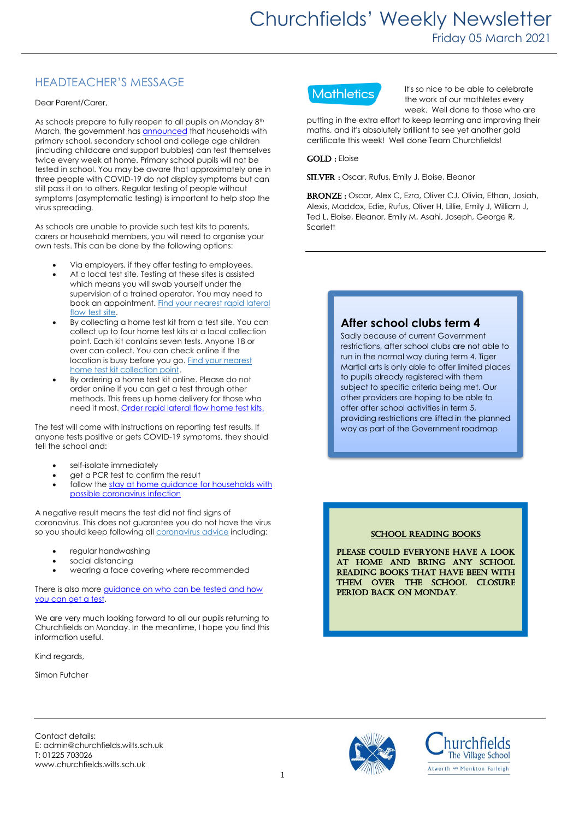# HEADTEACHER'S MESSAGE

#### Dear Parent/Carer,

As schools prepare to fully reopen to all pupils on Monday 8<sup>th</sup> March, the government ha[s announced](https://www.gov.uk/government/news/all-households-with-children-of-school-aged-to-get-rapid-covid-19-tests-per-person-per-week?utm_source=1%20March%202021%20C19&utm_medium=Daily%20Email%20C19&utm_campaign=DfE%20C19) that households with primary school, secondary school and college age children (including childcare and support bubbles) can test themselves twice every week at home. Primary school pupils will not be tested in school. You may be aware that approximately one in three people with COVID-19 do not display symptoms but can still pass it on to others. Regular testing of people without symptoms (asymptomatic testing) is important to help stop the virus spreading.

As schools are unable to provide such test kits to parents, carers or household members, you will need to organise your own tests. This can be done by the following options:

- Via employers, if they offer testing to employees.
- At a local test site. Testing at these sites is assisted which means you will swab yourself under the supervision of a trained operator. You may need to book an appointment. Find your [nearest](https://maps.test-and-trace.nhs.uk/) rapid lateral [flow](https://maps.test-and-trace.nhs.uk/) test site.
- By collecting a home test kit from a test site. You can collect up to four home test kits at a local collection point. Each kit contains seven tests. Anyone 18 or over can collect. You can check online if the location is busy before you go. Find your [nearest](https://find-covid-19-rapid-test-sites.maps.test-and-trace.nhs.uk/) home test kit [collection](https://find-covid-19-rapid-test-sites.maps.test-and-trace.nhs.uk/) point.
- By ordering a home test kit online. Please do not order online if you can get a test through other methods. This frees up home delivery for those who need it most[. Order](https://www.gov.uk/order-coronavirus-rapid-lateral-flow-tests) rapid lateral flow home test kits.

The test will come with instructions on reporting test results. If anyone tests positive or gets COVID-19 symptoms, they should tell the school and:

- self-isolate immediately
- get a PCR test to confirm the result
- follow the stay at home guidance for [households](https://www.gov.uk/government/publications/covid-19-stay-at-home-guidance) with possible [coronavirus](https://www.gov.uk/government/publications/covid-19-stay-at-home-guidance) infection

A negative result means the test did not find signs of coronavirus. This does not guarantee you do not have the virus so you should keep following all [coronavirus](https://www.gov.uk/government/publications/how-to-stop-the-spread-of-coronavirus-covid-19/how-to-stop-the-spread-of-coronavirus-covid-19) advice including:

- regular handwashing
- social distancing
- wearing a face covering where recommended

There is also more guidance on who can be tested and how you can [get a test.](https://www.gov.uk/guidance/rapid-lateral-flow-testing-for-households-and-bubbles-of-school-pupils-and-staff?utm_source=1%20March%202021%20C19&utm_medium=Daily%20Email%20C19&utm_campaign=DfE%20C19)

We are very much looking forward to all our pupils returning to Churchfields on Monday. In the meantime, I hope you find this information useful.

Kind regards,

Simon Futcher



It's so nice to be able to celebrate the work of our mathletes every week. Well done to those who are

putting in the extra effort to keep learning and improving their maths, and it's absolutely brilliant to see yet another gold certificate this week! Well done Team Churchfields!

#### GOLD : Eloise

SILVER : Oscar, Rufus, Emily J, Eloise, Eleanor

BRONZE: Oscar, Alex C, Ezra, Oliver CJ, Olivia, Ethan, Josiah, Alexis, Maddox, Edie, Rufus, Oliver H, Lillie, Emily J, William J, Ted L, Eloise, Eleanor, Emily M, Asahi, Joseph, George R, **Scarlett** 

## **After school clubs term 4**

Sadly because of current Government restrictions, after school clubs are not able to run in the normal way during term 4. Tiger Martial arts is only able to offer limited places to pupils already registered with them subject to specific criteria being met. Our other providers are hoping to be able to offer after school activities in term 5, providing restrictions are lifted in the planned way as part of the Government roadmap.

#### SCHOOL READING BOOKS

Please could everyone have a look at home and bring any school reading books that have been with them over the school closure period back on Monday.

Contact details: E: admin@churchfields.wilts.sch.uk T: 01225 703026 www.churchfields.wilts.sch.uk



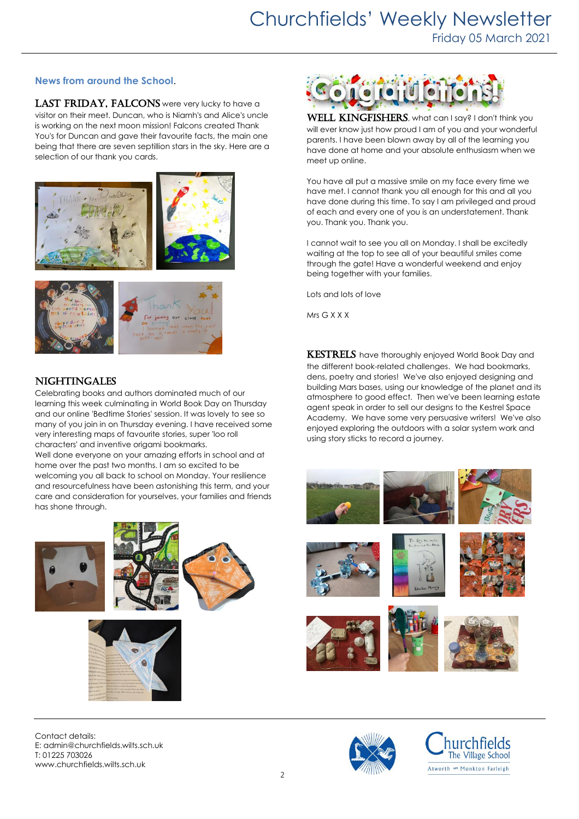### **News from around the School**.

LAST FRIDAY, FALCONS were very lucky to have a visitor on their meet. Duncan, who is Niamh's and Alice's uncle is working on the next moon mission! Falcons created Thank You's for Duncan and gave their favourite facts, the main one being that there are seven septillion stars in the sky. Here are a selection of our thank you cards.





### **NIGHTINGALES**

Celebrating books and authors dominated much of our learning this week culminating in World Book Day on Thursday and our online 'Bedtime Stories' session. It was lovely to see so many of you join in on Thursday evening. I have received some very interesting maps of favourite stories, super 'loo roll characters' and inventive origami bookmarks.

Well done everyone on your amazing efforts in school and at home over the past two months. I am so excited to be welcoming you all back to school on Monday. Your resilience and resourcefulness have been astonishing this term, and your care and consideration for yourselves, your families and friends has shone through.







Contact details: E: admin@churchfields.wilts.sch.uk T: 01225 703026 www.churchfields.wilts.sch.uk



WELL KINGFISHERS, what can I say? I don't think you will ever know just how proud I am of you and your wonderful parents. I have been blown away by all of the learning you have done at home and your absolute enthusiasm when we meet up online.

You have all put a massive smile on my face every time we have met. I cannot thank you all enough for this and all you have done during this time. To say I am privileged and proud of each and every one of you is an understatement. Thank you. Thank you. Thank you.

I cannot wait to see you all on Monday. I shall be excitedly waiting at the top to see all of your beautiful smiles come through the gate! Have a wonderful weekend and enjoy being together with your families.

Lots and lots of love

Mrs G X X X

KESTRELS have thoroughly enjoyed World Book Day and the different book-related challenges. We had bookmarks, dens, poetry and stories! We've also enjoyed designing and building Mars bases, using our knowledge of the planet and its atmosphere to good effect. Then we've been learning estate agent speak in order to sell our designs to the Kestrel Space Academy. We have some very persuasive writers! We've also enjoyed exploring the outdoors with a solar system work and using story sticks to record a journey.